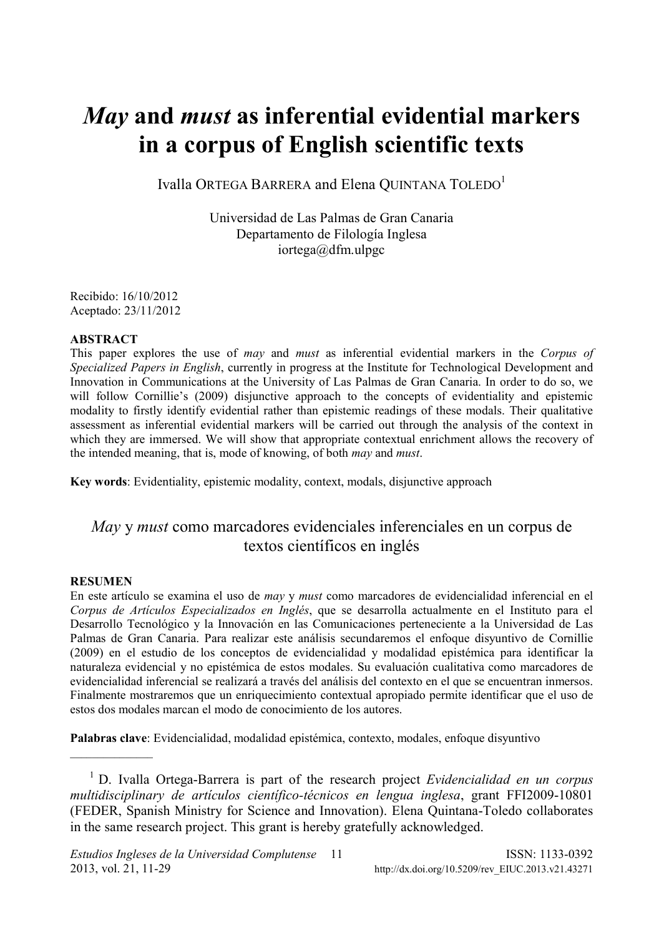# May and *must* as inferential evidential markers in a corpus of English scientific texts

Ivalla ORTEGA BARRERA and Elena OUINTANA TOLEDO<sup>1</sup>

Universidad de Las Palmas de Gran Canaria Departamento de Filología Inglesa iortega@dfm.ulpgc

Recibido: 16/10/2012 Aceptado: 23/11/2012

#### ABSTRACT

This paper explores the use of *may* and *must* as inferential evidential markers in the Corpus of Specialized Papers in English, currently in progress at the Institute for Technological Development and Innovation in Communications at the University of Las Palmas de Gran Canaria. In order to do so, we will follow Cornillie's (2009) disjunctive approach to the concepts of evidentiality and epistemic modality to firstly identify evidential rather than epistemic readings of these modals. Their qualitative assessment as inferential evidential markers will be carried out through the analysis of the context in which they are immersed. We will show that appropriate contextual enrichment allows the recovery of the intended meaning, that is, mode of knowing, of both may and must.

Key words: Evidentiality, epistemic modality, context, modals, disjunctive approach

# May y must como marcadores evidenciales inferenciales en un corpus de textos científicos en inglés

#### RESUMEN

 $\overline{\phantom{a}}$  . The set of the set of the set of the set of the set of the set of the set of the set of the set of the set of the set of the set of the set of the set of the set of the set of the set of the set of the set o

En este artículo se examina el uso de *may y must* como marcadores de evidencialidad inferencial en el Corpus de Artículos Especializados en Inglés, que se desarrolla actualmente en el Instituto para el Desarrollo Tecnológico y la Innovación en las Comunicaciones perteneciente a la Universidad de Las Palmas de Gran Canaria. Para realizar este análisis secundaremos el enfoque disyuntivo de Cornillie (2009) en el estudio de los conceptos de evidencialidad y modalidad epistémica para identificar la naturaleza evidencial y no epistémica de estos modales. Su evaluación cualitativa como marcadores de evidencialidad inferencial se realizará a través del análisis del contexto en el que se encuentran inmersos. Finalmente mostraremos que un enriquecimiento contextual apropiado permite identificar que el uso de estos dos modales marcan el modo de conocimiento de los autores.

Palabras clave: Evidencialidad, modalidad epistémica, contexto, modales, enfoque disyuntivo

<sup>1</sup> D. Ivalla Ortega-Barrera is part of the research project Evidencialidad en un corpus multidisciplinary de artículos científico-técnicos en lengua inglesa, grant FFI2009-10801 (FEDER, Spanish Ministry for Science and Innovation). Elena Quintana-Toledo collaborates in the same research project. This grant is hereby gratefully acknowledged.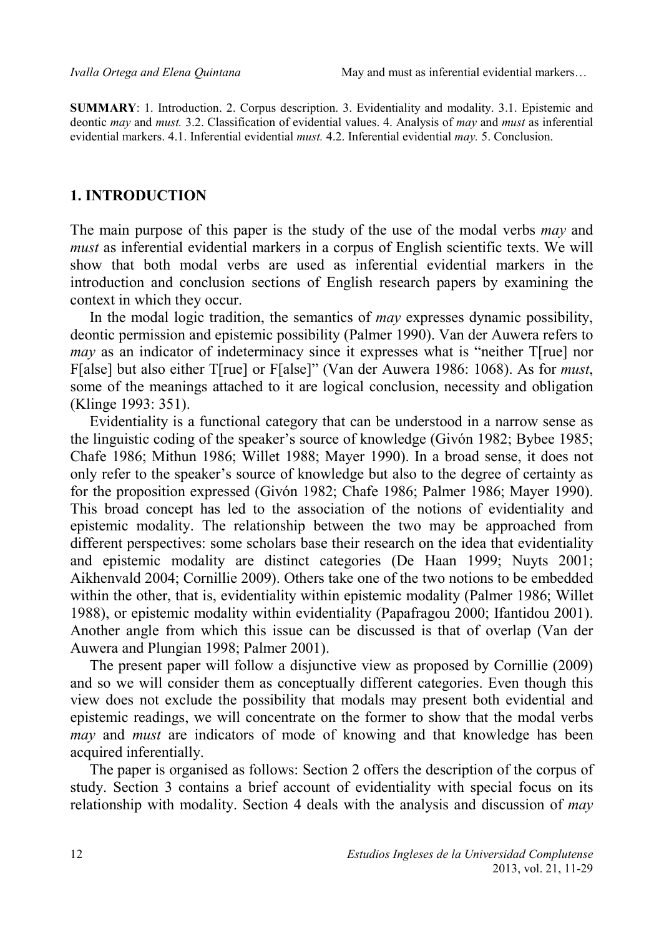SUMMARY: 1. Introduction. 2. Corpus description. 3. Evidentiality and modality. 3.1. Epistemic and deontic may and must. 3.2. Classification of evidential values. 4. Analysis of may and must as inferential evidential markers. 4.1. Inferential evidential must. 4.2. Inferential evidential may. 5. Conclusion.

#### 1. INTRODUCTION

The main purpose of this paper is the study of the use of the modal verbs *may* and must as inferential evidential markers in a corpus of English scientific texts. We will show that both modal verbs are used as inferential evidential markers in the introduction and conclusion sections of English research papers by examining the context in which they occur.

In the modal logic tradition, the semantics of *may* expresses dynamic possibility, deontic permission and epistemic possibility (Palmer 1990). Van der Auwera refers to may as an indicator of indeterminacy since it expresses what is "neither T[rue] nor F[alse] but also either T[rue] or F[alse]" (Van der Auwera 1986: 1068). As for must, some of the meanings attached to it are logical conclusion, necessity and obligation (Klinge 1993: 351).

Evidentiality is a functional category that can be understood in a narrow sense as the linguistic coding of the speaker's source of knowledge (Givón 1982; Bybee 1985; Chafe 1986; Mithun 1986; Willet 1988; Mayer 1990). In a broad sense, it does not only refer to the speaker's source of knowledge but also to the degree of certainty as for the proposition expressed (Givón 1982; Chafe 1986; Palmer 1986; Mayer 1990). This broad concept has led to the association of the notions of evidentiality and epistemic modality. The relationship between the two may be approached from different perspectives: some scholars base their research on the idea that evidentiality and epistemic modality are distinct categories (De Haan 1999; Nuyts 2001; Aikhenvald 2004; Cornillie 2009). Others take one of the two notions to be embedded within the other, that is, evidentiality within epistemic modality (Palmer 1986; Willet 1988), or epistemic modality within evidentiality (Papafragou 2000; Ifantidou 2001). Another angle from which this issue can be discussed is that of overlap (Van der Auwera and Plungian 1998; Palmer 2001).

The present paper will follow a disjunctive view as proposed by Cornillie (2009) and so we will consider them as conceptually different categories. Even though this view does not exclude the possibility that modals may present both evidential and epistemic readings, we will concentrate on the former to show that the modal verbs *may* and *must* are indicators of mode of knowing and that knowledge has been acquired inferentially.

The paper is organised as follows: Section 2 offers the description of the corpus of study. Section 3 contains a brief account of evidentiality with special focus on its relationship with modality. Section 4 deals with the analysis and discussion of  $may$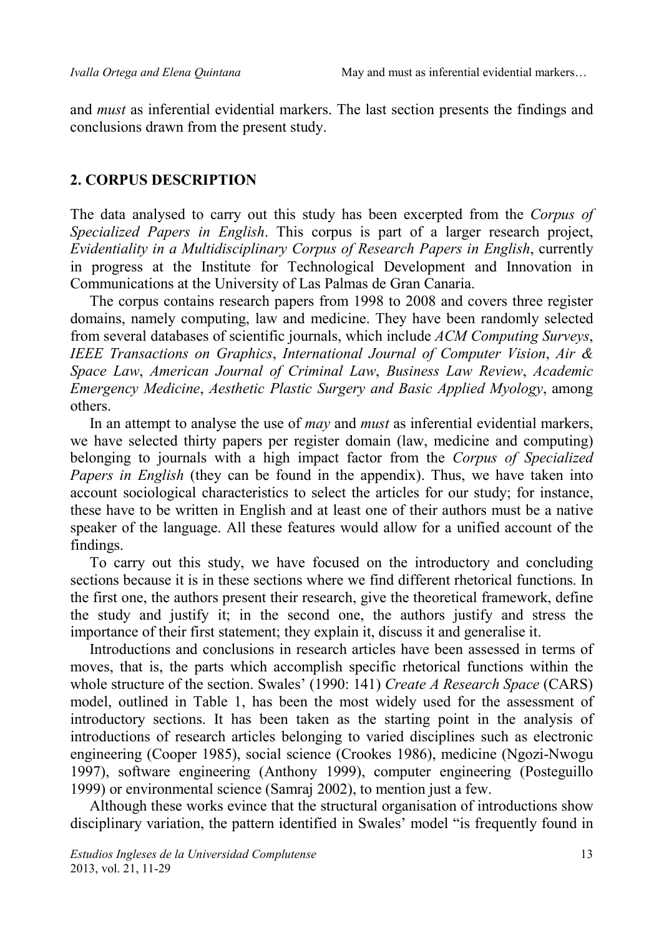and *must* as inferential evidential markers. The last section presents the findings and conclusions drawn from the present study.

#### 2. CORPUS DESCRIPTION

The data analysed to carry out this study has been excerpted from the Corpus of Specialized Papers in English. This corpus is part of a larger research project, Evidentiality in a Multidisciplinary Corpus of Research Papers in English, currently in progress at the Institute for Technological Development and Innovation in Communications at the University of Las Palmas de Gran Canaria.

The corpus contains research papers from 1998 to 2008 and covers three register domains, namely computing, law and medicine. They have been randomly selected from several databases of scientific journals, which include ACM Computing Surveys, IEEE Transactions on Graphics, International Journal of Computer Vision, Air & Space Law, American Journal of Criminal Law, Business Law Review, Academic Emergency Medicine, Aesthetic Plastic Surgery and Basic Applied Myology, among others.

In an attempt to analyse the use of *may* and *must* as inferential evidential markers, we have selected thirty papers per register domain (law, medicine and computing) belonging to journals with a high impact factor from the *Corpus of Specialized* Papers in English (they can be found in the appendix). Thus, we have taken into account sociological characteristics to select the articles for our study; for instance, these have to be written in English and at least one of their authors must be a native speaker of the language. All these features would allow for a unified account of the findings.

To carry out this study, we have focused on the introductory and concluding sections because it is in these sections where we find different rhetorical functions. In the first one, the authors present their research, give the theoretical framework, define the study and justify it; in the second one, the authors justify and stress the importance of their first statement; they explain it, discuss it and generalise it.

Introductions and conclusions in research articles have been assessed in terms of moves, that is, the parts which accomplish specific rhetorical functions within the whole structure of the section. Swales' (1990: 141) Create A Research Space (CARS) model, outlined in Table 1, has been the most widely used for the assessment of introductory sections. It has been taken as the starting point in the analysis of introductions of research articles belonging to varied disciplines such as electronic engineering (Cooper 1985), social science (Crookes 1986), medicine (Ngozi-Nwogu 1997), software engineering (Anthony 1999), computer engineering (Posteguillo 1999) or environmental science (Samraj 2002), to mention just a few.

Although these works evince that the structural organisation of introductions show disciplinary variation, the pattern identified in Swales' model "is frequently found in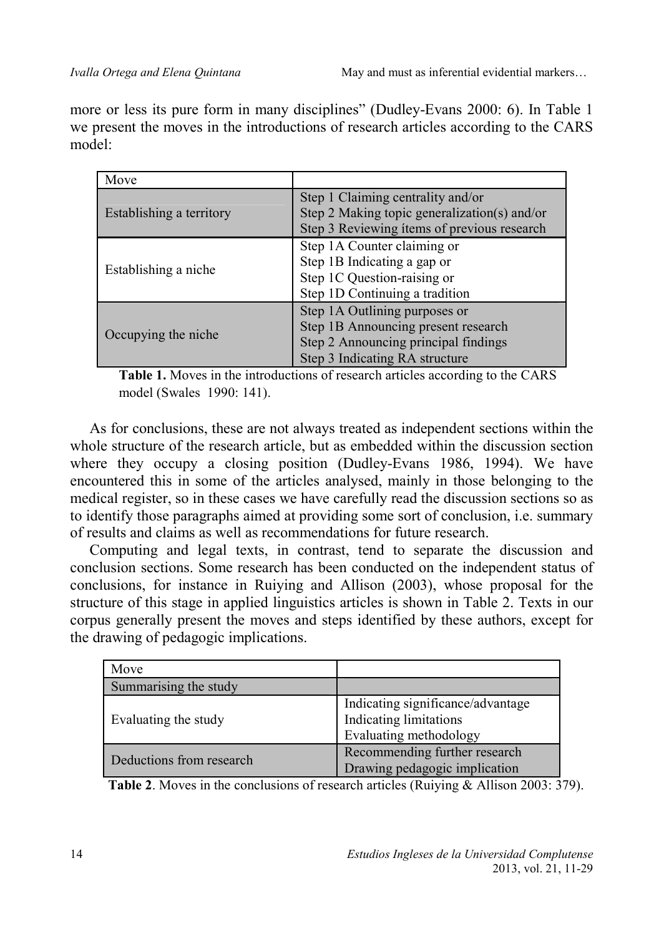more or less its pure form in many disciplines" (Dudley-Evans 2000: 6). In Table 1 we present the moves in the introductions of research articles according to the CARS model:

| Move                     |                                                                                   |  |  |  |  |
|--------------------------|-----------------------------------------------------------------------------------|--|--|--|--|
| Establishing a territory | Step 1 Claiming centrality and/or<br>Step 2 Making topic generalization(s) and/or |  |  |  |  |
|                          | Step 3 Reviewing ítems of previous research                                       |  |  |  |  |
| Establishing a niche     | Step 1A Counter claiming or                                                       |  |  |  |  |
|                          | Step 1B Indicating a gap or                                                       |  |  |  |  |
|                          | Step 1C Question-raising or                                                       |  |  |  |  |
|                          | Step 1D Continuing a tradition                                                    |  |  |  |  |
| Occupying the niche      | Step 1A Outlining purposes or                                                     |  |  |  |  |
|                          | Step 1B Announcing present research                                               |  |  |  |  |
|                          | Step 2 Announcing principal findings                                              |  |  |  |  |
|                          | Step 3 Indicating RA structure                                                    |  |  |  |  |

Table 1. Moves in the introductions of research articles according to the CARS model (Swales 1990: 141).

As for conclusions, these are not always treated as independent sections within the whole structure of the research article, but as embedded within the discussion section where they occupy a closing position (Dudley-Evans 1986, 1994). We have encountered this in some of the articles analysed, mainly in those belonging to the medical register, so in these cases we have carefully read the discussion sections so as to identify those paragraphs aimed at providing some sort of conclusion, i.e. summary of results and claims as well as recommendations for future research.

Computing and legal texts, in contrast, tend to separate the discussion and conclusion sections. Some research has been conducted on the independent status of conclusions, for instance in Ruiying and Allison (2003), whose proposal for the structure of this stage in applied linguistics articles is shown in Table 2. Texts in our corpus generally present the moves and steps identified by these authors, except for the drawing of pedagogic implications.

| Move                     |                                                                                       |  |  |  |  |
|--------------------------|---------------------------------------------------------------------------------------|--|--|--|--|
| Summarising the study    |                                                                                       |  |  |  |  |
| Evaluating the study     | Indicating significance/advantage<br>Indicating limitations<br>Evaluating methodology |  |  |  |  |
| Deductions from research | Recommending further research<br>Drawing pedagogic implication                        |  |  |  |  |

Table 2. Moves in the conclusions of research articles (Ruiying & Allison 2003: 379).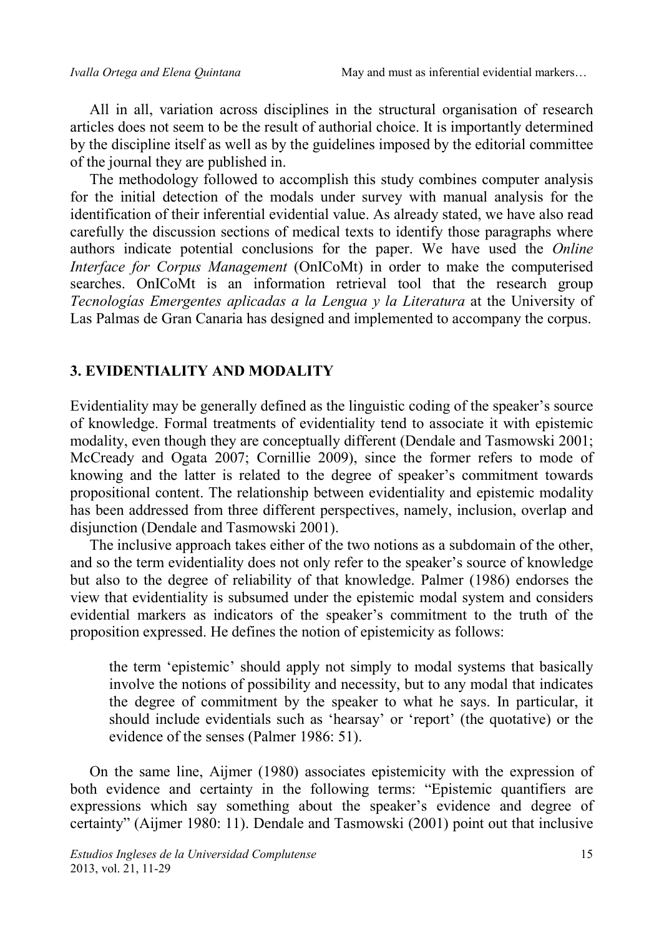All in all, variation across disciplines in the structural organisation of research articles does not seem to be the result of authorial choice. It is importantly determined by the discipline itself as well as by the guidelines imposed by the editorial committee of the journal they are published in.

The methodology followed to accomplish this study combines computer analysis for the initial detection of the modals under survey with manual analysis for the identification of their inferential evidential value. As already stated, we have also read carefully the discussion sections of medical texts to identify those paragraphs where authors indicate potential conclusions for the paper. We have used the Online Interface for Corpus Management (OnICoMt) in order to make the computerised searches. OnICoMt is an information retrieval tool that the research group Tecnologías Emergentes aplicadas a la Lengua y la Literatura at the University of Las Palmas de Gran Canaria has designed and implemented to accompany the corpus.

## 3. EVIDENTIALITY AND MODALITY

Evidentiality may be generally defined as the linguistic coding of the speaker's source of knowledge. Formal treatments of evidentiality tend to associate it with epistemic modality, even though they are conceptually different (Dendale and Tasmowski 2001; McCready and Ogata 2007; Cornillie 2009), since the former refers to mode of knowing and the latter is related to the degree of speaker's commitment towards propositional content. The relationship between evidentiality and epistemic modality has been addressed from three different perspectives, namely, inclusion, overlap and disjunction (Dendale and Tasmowski 2001).

The inclusive approach takes either of the two notions as a subdomain of the other, and so the term evidentiality does not only refer to the speaker's source of knowledge but also to the degree of reliability of that knowledge. Palmer (1986) endorses the view that evidentiality is subsumed under the epistemic modal system and considers evidential markers as indicators of the speaker's commitment to the truth of the proposition expressed. He defines the notion of epistemicity as follows:

the term 'epistemic' should apply not simply to modal systems that basically involve the notions of possibility and necessity, but to any modal that indicates the degree of commitment by the speaker to what he says. In particular, it should include evidentials such as 'hearsay' or 'report' (the quotative) or the evidence of the senses (Palmer 1986: 51).

On the same line, Aijmer (1980) associates epistemicity with the expression of both evidence and certainty in the following terms: "Epistemic quantifiers are expressions which say something about the speaker's evidence and degree of certainty" (Aijmer 1980: 11). Dendale and Tasmowski (2001) point out that inclusive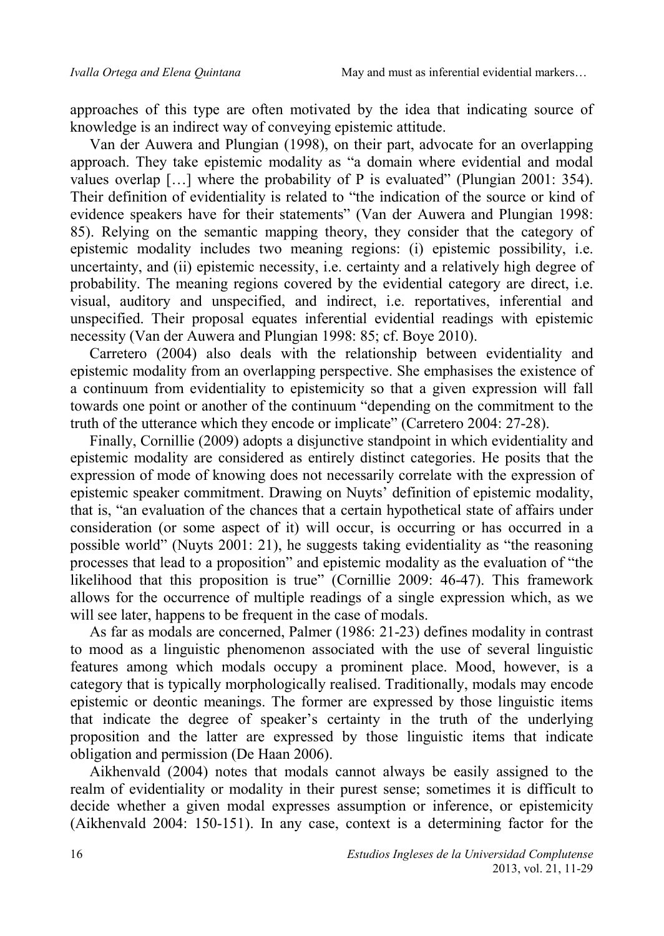approaches of this type are often motivated by the idea that indicating source of knowledge is an indirect way of conveying epistemic attitude.

Van der Auwera and Plungian (1998), on their part, advocate for an overlapping approach. They take epistemic modality as "a domain where evidential and modal values overlap [...] where the probability of P is evaluated" (Plungian 2001: 354). Their definition of evidentiality is related to "the indication of the source or kind of evidence speakers have for their statements" (Van der Auwera and Plungian 1998: 85). Relying on the semantic mapping theory, they consider that the category of epistemic modality includes two meaning regions: (i) epistemic possibility, i.e. uncertainty, and (ii) epistemic necessity, i.e. certainty and a relatively high degree of probability. The meaning regions covered by the evidential category are direct, i.e. visual, auditory and unspecified, and indirect, i.e. reportatives, inferential and unspecified. Their proposal equates inferential evidential readings with epistemic necessity (Van der Auwera and Plungian 1998: 85; cf. Boye 2010).

Carretero (2004) also deals with the relationship between evidentiality and epistemic modality from an overlapping perspective. She emphasises the existence of a continuum from evidentiality to epistemicity so that a given expression will fall towards one point or another of the continuum "depending on the commitment to the truth of the utterance which they encode or implicate" (Carretero 2004: 27-28).

Finally, Cornillie (2009) adopts a disjunctive standpoint in which evidentiality and epistemic modality are considered as entirely distinct categories. He posits that the expression of mode of knowing does not necessarily correlate with the expression of epistemic speaker commitment. Drawing on Nuyts' definition of epistemic modality, that is, "an evaluation of the chances that a certain hypothetical state of affairs under consideration (or some aspect of it) will occur, is occurring or has occurred in a possible world" (Nuyts 2001: 21), he suggests taking evidentiality as "the reasoning processes that lead to a proposition" and epistemic modality as the evaluation of "the likelihood that this proposition is true" (Cornillie 2009: 46-47). This framework allows for the occurrence of multiple readings of a single expression which, as we will see later, happens to be frequent in the case of modals.

As far as modals are concerned, Palmer (1986: 21-23) defines modality in contrast to mood as a linguistic phenomenon associated with the use of several linguistic features among which modals occupy a prominent place. Mood, however, is a category that is typically morphologically realised. Traditionally, modals may encode epistemic or deontic meanings. The former are expressed by those linguistic items that indicate the degree of speaker's certainty in the truth of the underlying proposition and the latter are expressed by those linguistic items that indicate obligation and permission (De Haan 2006).

Aikhenvald (2004) notes that modals cannot always be easily assigned to the realm of evidentiality or modality in their purest sense; sometimes it is difficult to decide whether a given modal expresses assumption or inference, or epistemicity (Aikhenvald 2004: 150-151). In any case, context is a determining factor for the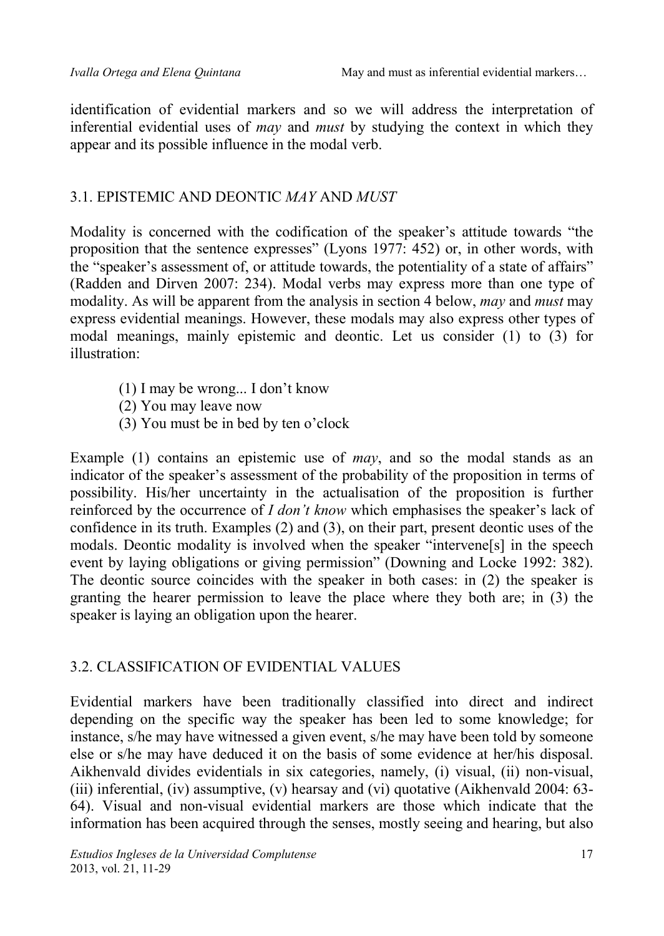identification of evidential markers and so we will address the interpretation of inferential evidential uses of *may* and *must* by studying the context in which they appear and its possible influence in the modal verb.

# 3.1. EPISTEMIC AND DEONTIC MAY AND MUST

Modality is concerned with the codification of the speaker's attitude towards "the proposition that the sentence expresses" (Lyons 1977: 452) or, in other words, with the "speaker's assessment of, or attitude towards, the potentiality of a state of affairs" (Radden and Dirven 2007: 234). Modal verbs may express more than one type of modality. As will be apparent from the analysis in section 4 below, may and must may express evidential meanings. However, these modals may also express other types of modal meanings, mainly epistemic and deontic. Let us consider (1) to (3) for illustration:

- (1) I may be wrong... I don't know
- (2) You may leave now
- (3) You must be in bed by ten o'clock

Example (1) contains an epistemic use of  $may$ , and so the modal stands as an indicator of the speaker's assessment of the probability of the proposition in terms of possibility. His/her uncertainty in the actualisation of the proposition is further reinforced by the occurrence of I don't know which emphasises the speaker's lack of confidence in its truth. Examples (2) and (3), on their part, present deontic uses of the modals. Deontic modality is involved when the speaker "intervene[s] in the speech event by laying obligations or giving permission" (Downing and Locke 1992: 382). The deontic source coincides with the speaker in both cases: in (2) the speaker is granting the hearer permission to leave the place where they both are; in (3) the speaker is laying an obligation upon the hearer.

# 3.2. CLASSIFICATION OF EVIDENTIAL VALUES

Evidential markers have been traditionally classified into direct and indirect depending on the specific way the speaker has been led to some knowledge; for instance, s/he may have witnessed a given event, s/he may have been told by someone else or s/he may have deduced it on the basis of some evidence at her/his disposal. Aikhenvald divides evidentials in six categories, namely, (i) visual, (ii) non-visual, (iii) inferential, (iv) assumptive, (v) hearsay and (vi) quotative (Aikhenvald 2004:  $63-$ 64). Visual and non-visual evidential markers are those which indicate that the information has been acquired through the senses, mostly seeing and hearing, but also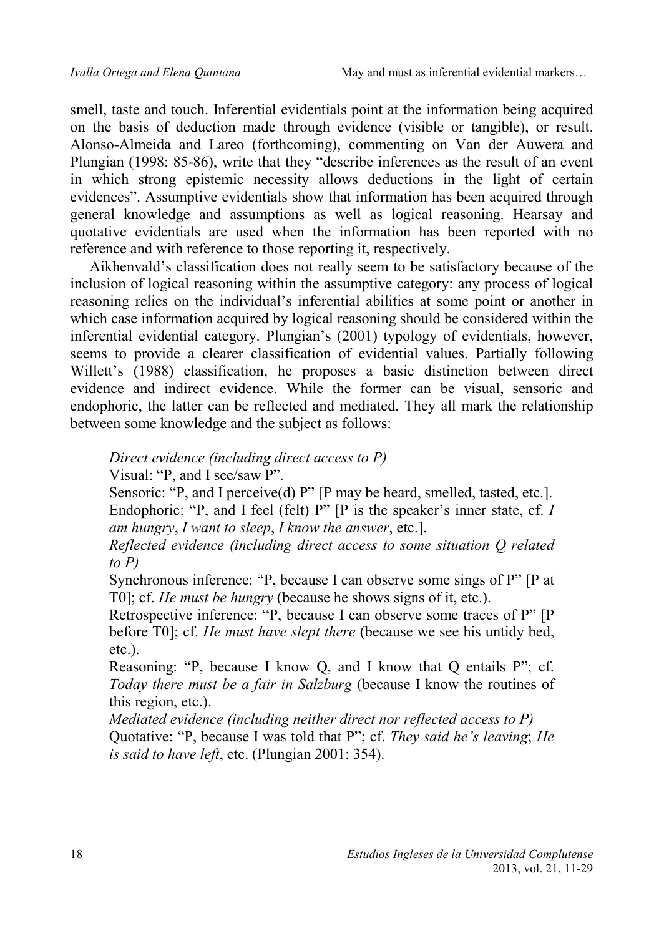smell, taste and touch. Inferential evidentials point at the information being acquired on the basis of deduction made through evidence (visible or tangible), or result. Alonso-Almeida and Lareo (forthcoming), commenting on Van der Auwera and Plungian (1998: 85-86), write that they "describe inferences as the result of an event in which strong epistemic necessity allows deductions in the light of certain evidences". Assumptive evidentials show that information has been acquired through general knowledge and assumptions as well as logical reasoning. Hearsay and quotative evidentials are used when the information has been reported with no reference and with reference to those reporting it, respectively.

Aikhenvald's classification does not really seem to be satisfactory because of the inclusion of logical reasoning within the assumptive category: any process of logical reasoning relies on the individual's inferential abilities at some point or another in which case information acquired by logical reasoning should be considered within the inferential evidential category. Plungian's (2001) typology of evidentials, however, seems to provide a clearer classification of evidential values. Partially following Willett's (1988) classification, he proposes a basic distinction between direct evidence and indirect evidence. While the former can be visual, sensoric and endophoric, the latter can be reflected and mediated. They all mark the relationship between some knowledge and the subject as follows:

Direct evidence (including direct access to P)

Visual: "P, and I see/saw P".

Sensoric: "P, and I perceive(d) P" [P may be heard, smelled, tasted, etc.]. Endophoric: "P, and I feel (felt) P" [P is the speaker's inner state, cf. I am hungry, I want to sleep, I know the answer, etc.].

Reflected evidence (including direct access to some situation Q related to P)

Synchronous inference: "P, because I can observe some sings of P" [P at T0]; cf. He must be hungry (because he shows signs of it, etc.).

Retrospective inference: "P, because I can observe some traces of P" [P before T0]; cf. *He must have slept there* (because we see his untidy bed, etc.).

Reasoning: "P, because I know Q, and I know that Q entails P"; cf. Today there must be a fair in Salzburg (because I know the routines of this region, etc.).

Mediated evidence (including neither direct nor reflected access to P) Quotative: "P, because I was told that P"; cf. They said he's leaving; He is said to have left, etc. (Plungian 2001: 354).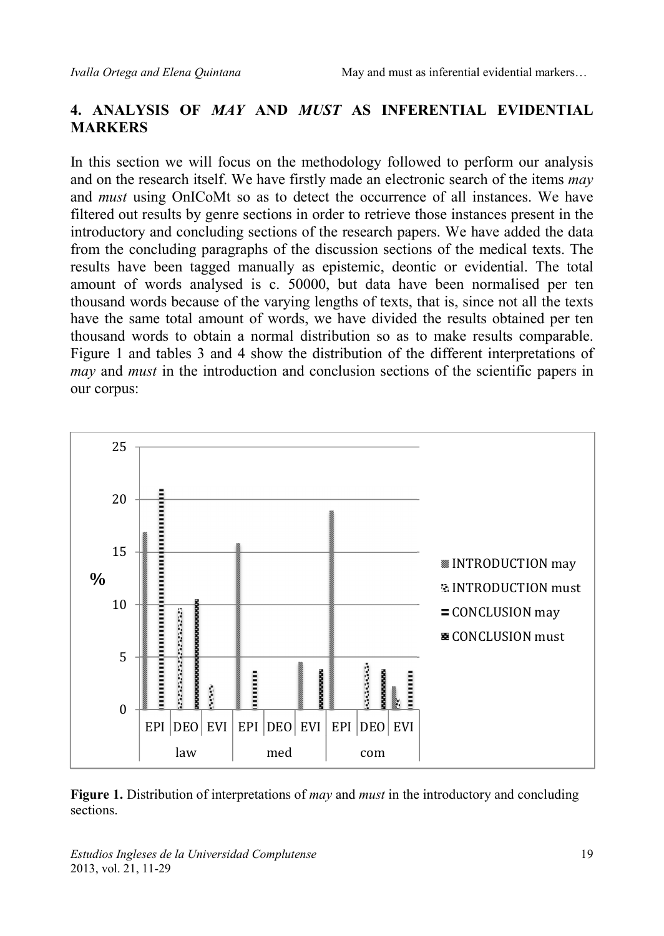# 4. ANALYSIS OF MAY AND MUST AS INFERENTIAL EVIDENTIAL **MARKERS**

In this section we will focus on the methodology followed to perform our analysis and on the research itself. We have firstly made an electronic search of the items *may* and must using OnICoMt so as to detect the occurrence of all instances. We have filtered out results by genre sections in order to retrieve those instances present in the introductory and concluding sections of the research papers. We have added the data from the concluding paragraphs of the discussion sections of the medical texts. The results have been tagged manually as epistemic, deontic or evidential. The total amount of words analysed is c. 50000, but data have been normalised per ten thousand words because of the varying lengths of texts, that is, since not all the texts have the same total amount of words, we have divided the results obtained per ten thousand words to obtain a normal distribution so as to make results comparable. Figure 1 and tables 3 and 4 show the distribution of the different interpretations of *may* and *must* in the introduction and conclusion sections of the scientific papers in our corpus:



Figure 1. Distribution of interpretations of *may* and *must* in the introductory and concluding sections.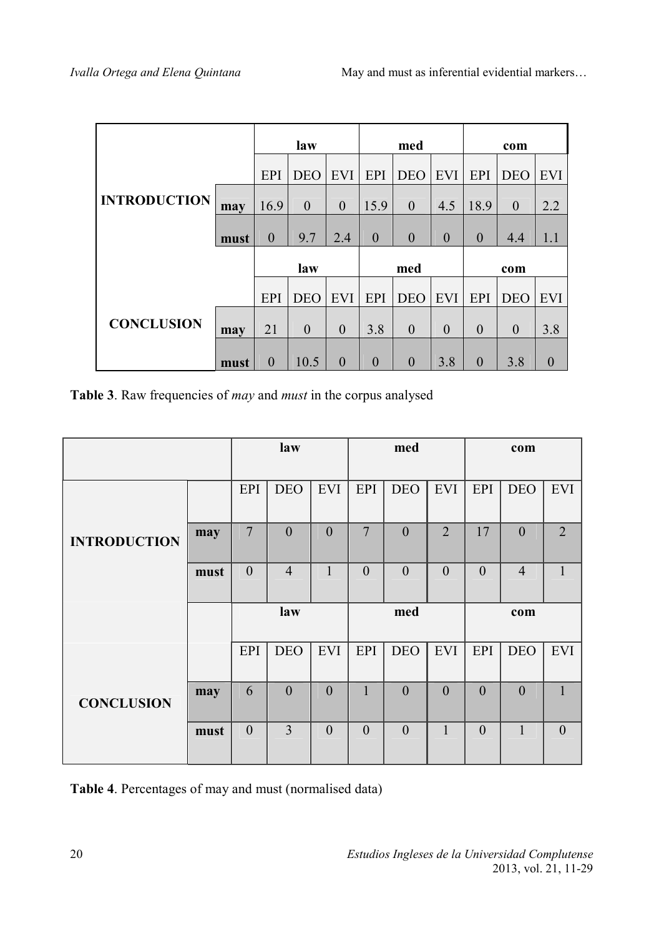|                     |      | law      |            |                | med      |            |                | com            |            |                |
|---------------------|------|----------|------------|----------------|----------|------------|----------------|----------------|------------|----------------|
|                     |      | EPI      | DEO        | <b>EVI</b>     | EPI      | DEO        | <b>EVI</b>     | EPI            | <b>DEO</b> | <b>EVI</b>     |
| <b>INTRODUCTION</b> | may  | 16.9     | $\theta$   | $\theta$       | 15.9     | $\theta$   | 4.5            | 18.9           | $\theta$   | 2.2            |
|                     | must | $\theta$ | 9.7        | 2.4            | $\theta$ | $\theta$   | $\overline{0}$ | $\theta$       | 4.4        | 1.1            |
|                     |      | law      |            | med            |          |            | com            |                |            |                |
|                     |      | EPI      | <b>DEO</b> | <b>EVI</b>     | EPI      | <b>DEO</b> | <b>EVI</b>     | EPI            | <b>DEO</b> | <b>EVI</b>     |
| <b>CONCLUSION</b>   | may  | 21       | $\theta$   | $\theta$       | 3.8      | $\theta$   | $\overline{0}$ | $\theta$       | $\theta$   | 3.8            |
|                     | must | $\theta$ | 10.5       | $\overline{0}$ | $\theta$ | $\theta$   | 3.8            | $\overline{0}$ | 3.8        | $\overline{0}$ |

Table 3. Raw frequencies of *may* and *must* in the corpus analysed

|                     |      | law            |                |              | med      |            |                | com      |                |              |
|---------------------|------|----------------|----------------|--------------|----------|------------|----------------|----------|----------------|--------------|
|                     |      |                |                |              |          |            |                |          |                |              |
|                     |      | <b>EPI</b>     | <b>DEO</b>     | <b>EVI</b>   | EPI      | <b>DEO</b> | <b>EVI</b>     | EPI      | <b>DEO</b>     | <b>EVI</b>   |
| <b>INTRODUCTION</b> | may  | $\overline{7}$ | $\theta$       | $\theta$     | 7        | $\theta$   | $\overline{2}$ | 17       | $\mathbf{0}$   | 2            |
|                     | must | $\theta$       | $\overline{4}$ | $\mathbf{1}$ | $\theta$ | $\theta$   | $\Omega$       | $\Omega$ | $\overline{4}$ | $\mathbf{1}$ |
|                     |      |                | law            |              |          | med        |                | com      |                |              |
|                     |      | EPI            | <b>DEO</b>     | <b>EVI</b>   | EPI      | <b>DEO</b> | <b>EVI</b>     | EPI      | <b>DEO</b>     | <b>EVI</b>   |
| <b>CONCLUSION</b>   | may  | 6              | $\theta$       | $\theta$     | 1        | $\theta$   | $\theta$       | $\theta$ | $\theta$       | $\mathbf{1}$ |
|                     | must | $\theta$       | 3              | $\theta$     | $\theta$ | $\theta$   |                | $\theta$ | 1              | $\mathbf{0}$ |

Table 4. Percentages of may and must (normalised data)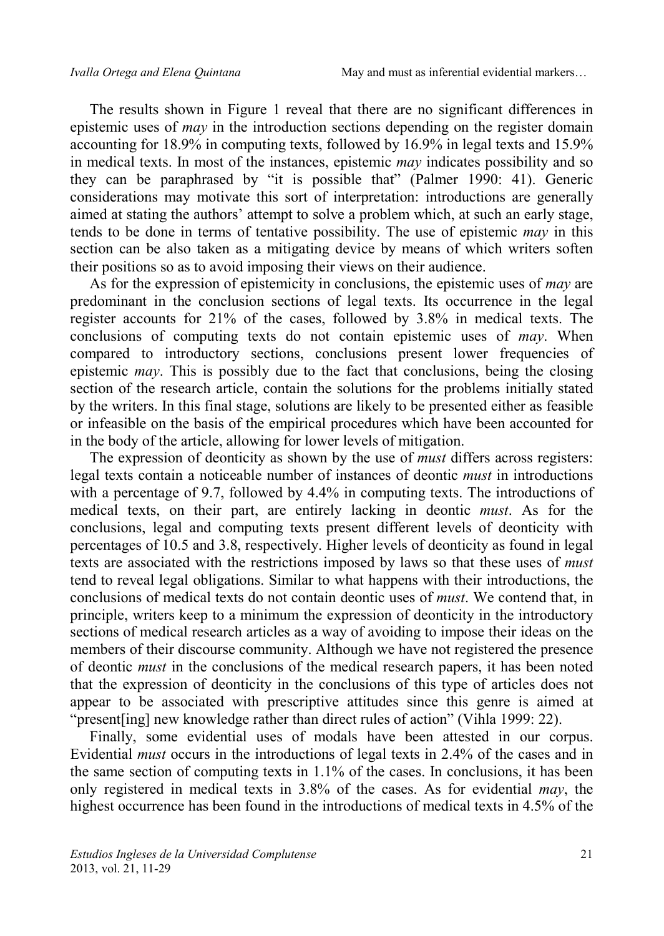The results shown in Figure 1 reveal that there are no significant differences in epistemic uses of *may* in the introduction sections depending on the register domain accounting for 18.9% in computing texts, followed by 16.9% in legal texts and 15.9% in medical texts. In most of the instances, epistemic may indicates possibility and so they can be paraphrased by "it is possible that" (Palmer 1990: 41). Generic considerations may motivate this sort of interpretation: introductions are generally aimed at stating the authors' attempt to solve a problem which, at such an early stage, tends to be done in terms of tentative possibility. The use of epistemic may in this section can be also taken as a mitigating device by means of which writers soften their positions so as to avoid imposing their views on their audience.

As for the expression of epistemicity in conclusions, the epistemic uses of *may* are predominant in the conclusion sections of legal texts. Its occurrence in the legal register accounts for 21% of the cases, followed by 3.8% in medical texts. The conclusions of computing texts do not contain epistemic uses of may. When compared to introductory sections, conclusions present lower frequencies of epistemic may. This is possibly due to the fact that conclusions, being the closing section of the research article, contain the solutions for the problems initially stated by the writers. In this final stage, solutions are likely to be presented either as feasible or infeasible on the basis of the empirical procedures which have been accounted for in the body of the article, allowing for lower levels of mitigation.

The expression of deonticity as shown by the use of *must* differs across registers: legal texts contain a noticeable number of instances of deontic must in introductions with a percentage of 9.7, followed by 4.4% in computing texts. The introductions of medical texts, on their part, are entirely lacking in deontic must. As for the conclusions, legal and computing texts present different levels of deonticity with percentages of 10.5 and 3.8, respectively. Higher levels of deonticity as found in legal texts are associated with the restrictions imposed by laws so that these uses of *must* tend to reveal legal obligations. Similar to what happens with their introductions, the conclusions of medical texts do not contain deontic uses of must. We contend that, in principle, writers keep to a minimum the expression of deonticity in the introductory sections of medical research articles as a way of avoiding to impose their ideas on the members of their discourse community. Although we have not registered the presence of deontic must in the conclusions of the medical research papers, it has been noted that the expression of deonticity in the conclusions of this type of articles does not appear to be associated with prescriptive attitudes since this genre is aimed at "present[ing] new knowledge rather than direct rules of action" (Vihla 1999: 22).

Finally, some evidential uses of modals have been attested in our corpus. Evidential must occurs in the introductions of legal texts in 2.4% of the cases and in the same section of computing texts in 1.1% of the cases. In conclusions, it has been only registered in medical texts in  $3.8\%$  of the cases. As for evidential *may*, the highest occurrence has been found in the introductions of medical texts in 4.5% of the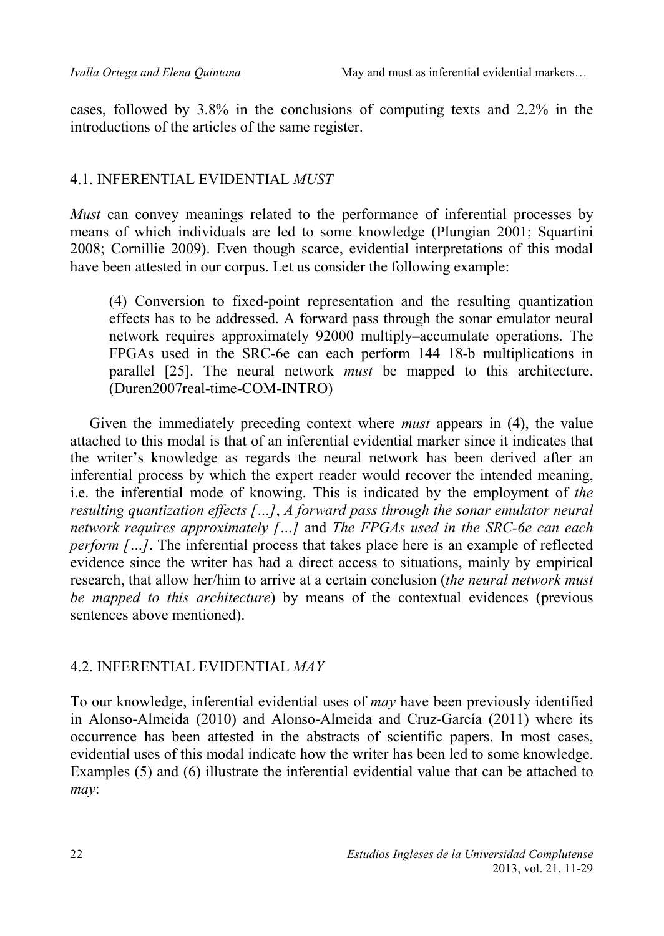cases, followed by 3.8% in the conclusions of computing texts and 2.2% in the introductions of the articles of the same register.

## 4.1. INFERENTIAL EVIDENTIAL MUST

Must can convey meanings related to the performance of inferential processes by means of which individuals are led to some knowledge (Plungian 2001; Squartini 2008; Cornillie 2009). Even though scarce, evidential interpretations of this modal have been attested in our corpus. Let us consider the following example:

(4) Conversion to fixed-point representation and the resulting quantization effects has to be addressed. A forward pass through the sonar emulator neural network requires approximately 92000 multiply–accumulate operations. The FPGAs used in the SRC-6e can each perform 144 18-b multiplications in parallel [25]. The neural network must be mapped to this architecture. (Duren2007real-time-COM-INTRO)

Given the immediately preceding context where *must* appears in (4), the value attached to this modal is that of an inferential evidential marker since it indicates that the writer's knowledge as regards the neural network has been derived after an inferential process by which the expert reader would recover the intended meaning, i.e. the inferential mode of knowing. This is indicated by the employment of the resulting quantization effects  $[\ldots]$ , A forward pass through the sonar emulator neural network requires approximately [...] and The FPGAs used in the SRC-6e can each perform [...]. The inferential process that takes place here is an example of reflected evidence since the writer has had a direct access to situations, mainly by empirical research, that allow her/him to arrive at a certain conclusion (the neural network must be mapped to this architecture) by means of the contextual evidences (previous sentences above mentioned).

### 4.2. INFERENTIAL EVIDENTIAL MAY

To our knowledge, inferential evidential uses of may have been previously identified in Alonso-Almeida (2010) and Alonso-Almeida and Cruz-García (2011) where its occurrence has been attested in the abstracts of scientific papers. In most cases, evidential uses of this modal indicate how the writer has been led to some knowledge. Examples (5) and (6) illustrate the inferential evidential value that can be attached to may: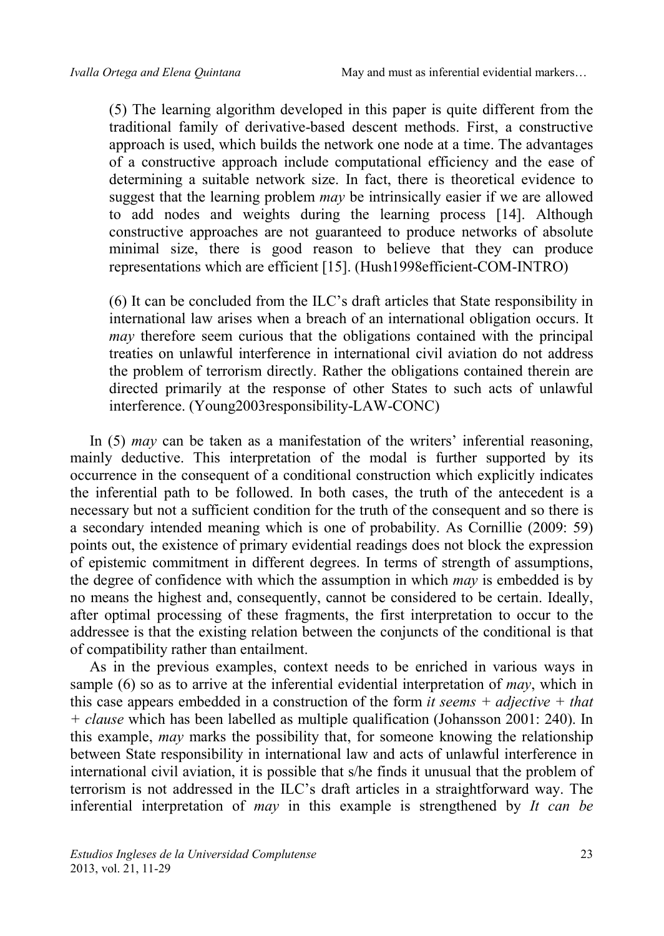(5) The learning algorithm developed in this paper is quite different from the traditional family of derivative-based descent methods. First, a constructive approach is used, which builds the network one node at a time. The advantages of a constructive approach include computational efficiency and the ease of determining a suitable network size. In fact, there is theoretical evidence to suggest that the learning problem *may* be intrinsically easier if we are allowed to add nodes and weights during the learning process [14]. Although constructive approaches are not guaranteed to produce networks of absolute minimal size, there is good reason to believe that they can produce representations which are efficient [15]. (Hush1998efficient-COM-INTRO)

(6) It can be concluded from the ILC's draft articles that State responsibility in international law arises when a breach of an international obligation occurs. It may therefore seem curious that the obligations contained with the principal treaties on unlawful interference in international civil aviation do not address the problem of terrorism directly. Rather the obligations contained therein are directed primarily at the response of other States to such acts of unlawful interference. (Young2003responsibility-LAW-CONC)

In (5) *may* can be taken as a manifestation of the writers' inferential reasoning, mainly deductive. This interpretation of the modal is further supported by its occurrence in the consequent of a conditional construction which explicitly indicates the inferential path to be followed. In both cases, the truth of the antecedent is a necessary but not a sufficient condition for the truth of the consequent and so there is a secondary intended meaning which is one of probability. As Cornillie (2009: 59) points out, the existence of primary evidential readings does not block the expression of epistemic commitment in different degrees. In terms of strength of assumptions, the degree of confidence with which the assumption in which *may* is embedded is by no means the highest and, consequently, cannot be considered to be certain. Ideally, after optimal processing of these fragments, the first interpretation to occur to the addressee is that the existing relation between the conjuncts of the conditional is that of compatibility rather than entailment.

As in the previous examples, context needs to be enriched in various ways in sample (6) so as to arrive at the inferential evidential interpretation of  $m \alpha y$ , which in this case appears embedded in a construction of the form it seems  $+$  adjective  $+$  that + clause which has been labelled as multiple qualification (Johansson 2001: 240). In this example, may marks the possibility that, for someone knowing the relationship between State responsibility in international law and acts of unlawful interference in international civil aviation, it is possible that s/he finds it unusual that the problem of terrorism is not addressed in the ILC's draft articles in a straightforward way. The inferential interpretation of may in this example is strengthened by It can be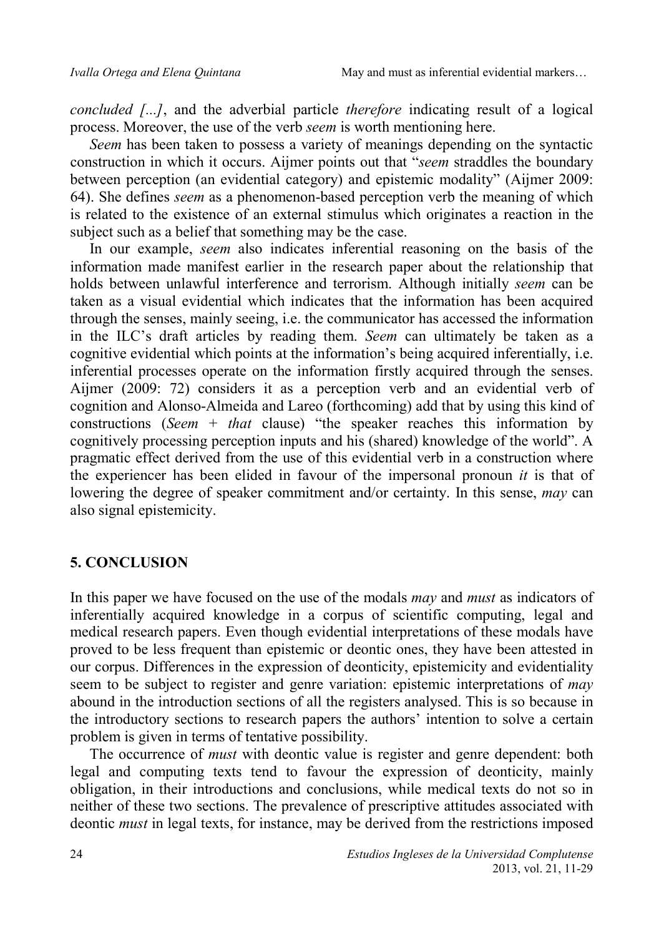concluded [...], and the adverbial particle therefore indicating result of a logical process. Moreover, the use of the verb seem is worth mentioning here.

Seem has been taken to possess a variety of meanings depending on the syntactic construction in which it occurs. Aijmer points out that "seem straddles the boundary between perception (an evidential category) and epistemic modality" (Aijmer 2009: 64). She defines seem as a phenomenon-based perception verb the meaning of which is related to the existence of an external stimulus which originates a reaction in the subject such as a belief that something may be the case.

In our example, seem also indicates inferential reasoning on the basis of the information made manifest earlier in the research paper about the relationship that holds between unlawful interference and terrorism. Although initially seem can be taken as a visual evidential which indicates that the information has been acquired through the senses, mainly seeing, i.e. the communicator has accessed the information in the ILC's draft articles by reading them. Seem can ultimately be taken as a cognitive evidential which points at the information's being acquired inferentially, i.e. inferential processes operate on the information firstly acquired through the senses. Aijmer (2009: 72) considers it as a perception verb and an evidential verb of cognition and Alonso-Almeida and Lareo (forthcoming) add that by using this kind of constructions (Seem + that clause) "the speaker reaches this information by cognitively processing perception inputs and his (shared) knowledge of the world". A pragmatic effect derived from the use of this evidential verb in a construction where the experiencer has been elided in favour of the impersonal pronoun *it* is that of lowering the degree of speaker commitment and/or certainty. In this sense, may can also signal epistemicity.

#### 5. CONCLUSION

In this paper we have focused on the use of the modals *may* and *must* as indicators of inferentially acquired knowledge in a corpus of scientific computing, legal and medical research papers. Even though evidential interpretations of these modals have proved to be less frequent than epistemic or deontic ones, they have been attested in our corpus. Differences in the expression of deonticity, epistemicity and evidentiality seem to be subject to register and genre variation: epistemic interpretations of *may* abound in the introduction sections of all the registers analysed. This is so because in the introductory sections to research papers the authors' intention to solve a certain problem is given in terms of tentative possibility.

The occurrence of must with deontic value is register and genre dependent: both legal and computing texts tend to favour the expression of deonticity, mainly obligation, in their introductions and conclusions, while medical texts do not so in neither of these two sections. The prevalence of prescriptive attitudes associated with deontic must in legal texts, for instance, may be derived from the restrictions imposed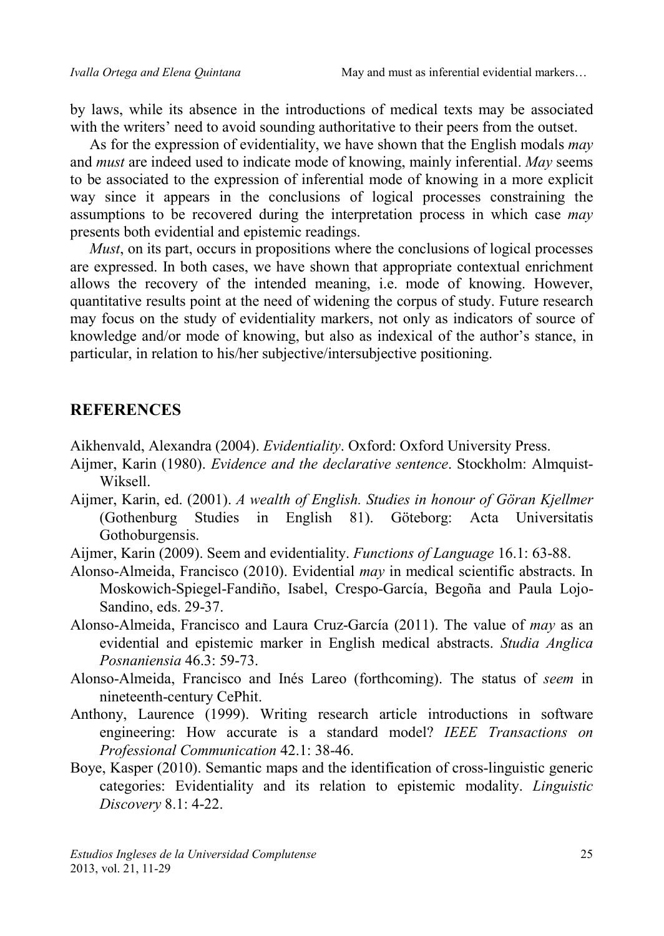by laws, while its absence in the introductions of medical texts may be associated with the writers' need to avoid sounding authoritative to their peers from the outset.

As for the expression of evidentiality, we have shown that the English modals *may* and *must* are indeed used to indicate mode of knowing, mainly inferential. May seems to be associated to the expression of inferential mode of knowing in a more explicit way since it appears in the conclusions of logical processes constraining the assumptions to be recovered during the interpretation process in which case may presents both evidential and epistemic readings.

Must, on its part, occurs in propositions where the conclusions of logical processes are expressed. In both cases, we have shown that appropriate contextual enrichment allows the recovery of the intended meaning, i.e. mode of knowing. However, quantitative results point at the need of widening the corpus of study. Future research may focus on the study of evidentiality markers, not only as indicators of source of knowledge and/or mode of knowing, but also as indexical of the author's stance, in particular, in relation to his/her subjective/intersubjective positioning.

### **REFERENCES**

Aikhenvald, Alexandra (2004). Evidentiality. Oxford: Oxford University Press.

- Aijmer, Karin (1980). Evidence and the declarative sentence. Stockholm: Almquist-Wiksell.
- Aijmer, Karin, ed. (2001). A wealth of English. Studies in honour of Göran Kjellmer (Gothenburg Studies in English 81). Göteborg: Acta Universitatis Gothoburgensis.
- Aijmer, Karin (2009). Seem and evidentiality. Functions of Language 16.1: 63-88.
- Alonso-Almeida, Francisco (2010). Evidential may in medical scientific abstracts. In Moskowich-Spiegel-Fandiño, Isabel, Crespo-García, Begoña and Paula Lojo-Sandino, eds. 29-37.
- Alonso-Almeida, Francisco and Laura Cruz-García (2011). The value of may as an evidential and epistemic marker in English medical abstracts. Studia Anglica Posnaniensia 46.3: 59-73.
- Alonso-Almeida, Francisco and Inés Lareo (forthcoming). The status of seem in nineteenth-century CePhit.
- Anthony, Laurence (1999). Writing research article introductions in software engineering: How accurate is a standard model? IEEE Transactions on Professional Communication 42.1: 38-46.
- Boye, Kasper (2010). Semantic maps and the identification of cross-linguistic generic categories: Evidentiality and its relation to epistemic modality. Linguistic Discovery 8.1: 4-22.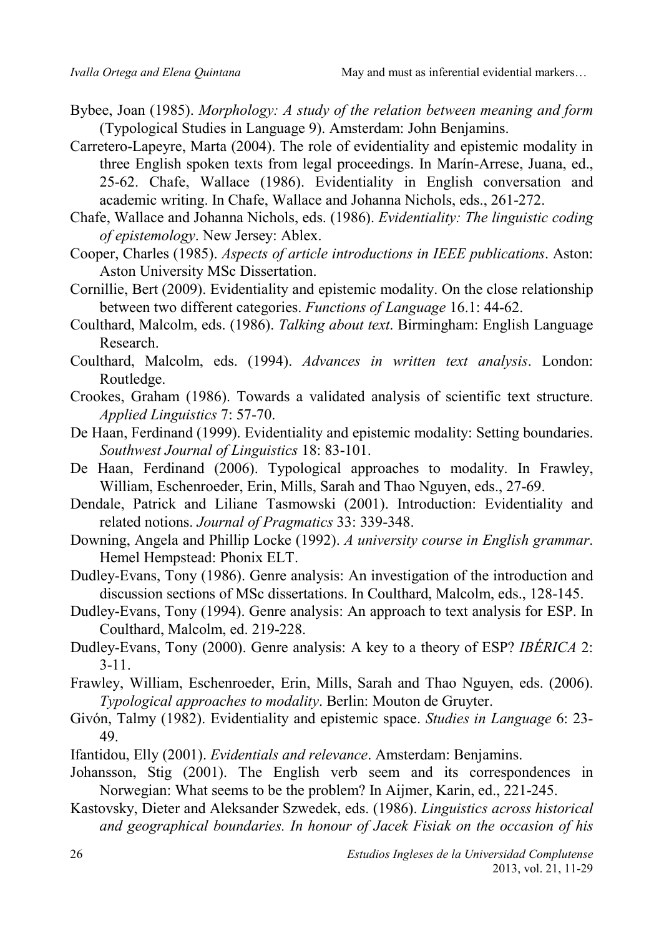- Bybee, Joan (1985). Morphology: A study of the relation between meaning and form (Typological Studies in Language 9). Amsterdam: John Benjamins.
- Carretero-Lapeyre, Marta (2004). The role of evidentiality and epistemic modality in three English spoken texts from legal proceedings. In Marín-Arrese, Juana, ed., 25-62. Chafe, Wallace (1986). Evidentiality in English conversation and academic writing. In Chafe, Wallace and Johanna Nichols, eds., 261-272.
- Chafe, Wallace and Johanna Nichols, eds. (1986). Evidentiality: The linguistic coding of epistemology. New Jersey: Ablex.
- Cooper, Charles (1985). Aspects of article introductions in IEEE publications. Aston: Aston University MSc Dissertation.
- Cornillie, Bert (2009). Evidentiality and epistemic modality. On the close relationship between two different categories. Functions of Language 16.1: 44-62.
- Coulthard, Malcolm, eds. (1986). Talking about text. Birmingham: English Language Research.
- Coulthard, Malcolm, eds. (1994). Advances in written text analysis. London: Routledge.
- Crookes, Graham (1986). Towards a validated analysis of scientific text structure. Applied Linguistics 7: 57-70.
- De Haan, Ferdinand (1999). Evidentiality and epistemic modality: Setting boundaries. Southwest Journal of Linguistics 18: 83-101.
- De Haan, Ferdinand (2006). Typological approaches to modality. In Frawley, William, Eschenroeder, Erin, Mills, Sarah and Thao Nguyen, eds., 27-69.
- Dendale, Patrick and Liliane Tasmowski (2001). Introduction: Evidentiality and related notions. Journal of Pragmatics 33: 339-348.
- Downing, Angela and Phillip Locke (1992). A university course in English grammar. Hemel Hempstead: Phonix ELT.
- Dudley-Evans, Tony (1986). Genre analysis: An investigation of the introduction and discussion sections of MSc dissertations. In Coulthard, Malcolm, eds., 128-145.
- Dudley-Evans, Tony (1994). Genre analysis: An approach to text analysis for ESP. In Coulthard, Malcolm, ed. 219-228.
- Dudley-Evans, Tony (2000). Genre analysis: A key to a theory of ESP? IBÉRICA 2: 3-11.
- Frawley, William, Eschenroeder, Erin, Mills, Sarah and Thao Nguyen, eds. (2006). Typological approaches to modality. Berlin: Mouton de Gruyter.
- Givón, Talmy (1982). Evidentiality and epistemic space. Studies in Language 6: 23- 49.
- Ifantidou, Elly (2001). Evidentials and relevance. Amsterdam: Benjamins.
- Johansson, Stig (2001). The English verb seem and its correspondences in Norwegian: What seems to be the problem? In Aijmer, Karin, ed., 221-245.
- Kastovsky, Dieter and Aleksander Szwedek, eds. (1986). Linguistics across historical and geographical boundaries. In honour of Jacek Fisiak on the occasion of his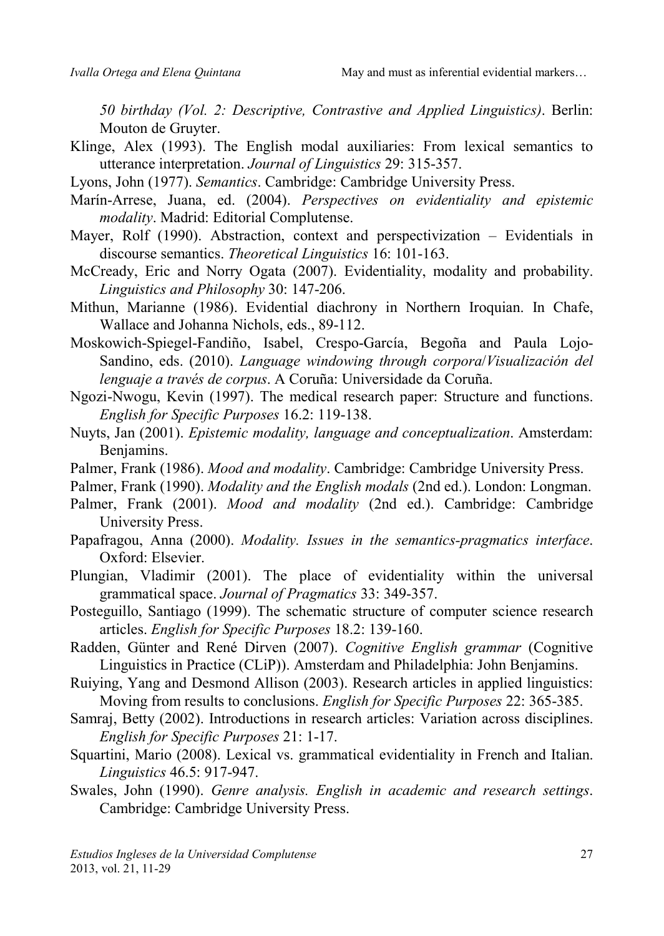50 birthday (Vol. 2: Descriptive, Contrastive and Applied Linguistics). Berlin: Mouton de Gruyter.

- Klinge, Alex (1993). The English modal auxiliaries: From lexical semantics to utterance interpretation. Journal of Linguistics 29: 315-357.
- Lyons, John (1977). Semantics. Cambridge: Cambridge University Press.
- Marín-Arrese, Juana, ed. (2004). Perspectives on evidentiality and epistemic modality. Madrid: Editorial Complutense.
- Mayer, Rolf (1990). Abstraction, context and perspectivization Evidentials in discourse semantics. Theoretical Linguistics 16: 101-163.
- McCready, Eric and Norry Ogata (2007). Evidentiality, modality and probability. Linguistics and Philosophy 30: 147-206.
- Mithun, Marianne (1986). Evidential diachrony in Northern Iroquian. In Chafe, Wallace and Johanna Nichols, eds., 89-112.
- Moskowich-Spiegel-Fandiño, Isabel, Crespo-García, Begoña and Paula Lojo-Sandino, eds. (2010). Language windowing through corpora/Visualización del lenguaje a través de corpus. A Coruña: Universidade da Coruña.
- Ngozi-Nwogu, Kevin (1997). The medical research paper: Structure and functions. English for Specific Purposes 16.2: 119-138.
- Nuyts, Jan (2001). Epistemic modality, language and conceptualization. Amsterdam: Benjamins.
- Palmer, Frank (1986). Mood and modality. Cambridge: Cambridge University Press.
- Palmer, Frank (1990). *Modality and the English modals* (2nd ed.). London: Longman.
- Palmer, Frank (2001). Mood and modality (2nd ed.). Cambridge: Cambridge University Press.
- Papafragou, Anna (2000). Modality. Issues in the semantics-pragmatics interface. Oxford: Elsevier.
- Plungian, Vladimir (2001). The place of evidentiality within the universal grammatical space. Journal of Pragmatics 33: 349-357.
- Posteguillo, Santiago (1999). The schematic structure of computer science research articles. English for Specific Purposes 18.2: 139-160.
- Radden, Günter and René Dirven (2007). Cognitive English grammar (Cognitive Linguistics in Practice (CLiP)). Amsterdam and Philadelphia: John Benjamins.
- Ruiying, Yang and Desmond Allison (2003). Research articles in applied linguistics: Moving from results to conclusions. English for Specific Purposes 22: 365-385.
- Samraj, Betty (2002). Introductions in research articles: Variation across disciplines. English for Specific Purposes 21: 1-17.
- Squartini, Mario (2008). Lexical vs. grammatical evidentiality in French and Italian. Linguistics 46.5: 917-947.
- Swales, John (1990). Genre analysis. English in academic and research settings. Cambridge: Cambridge University Press.

Estudios Ingleses de la Universidad Complutense 27 2013, vol. 21, 11-29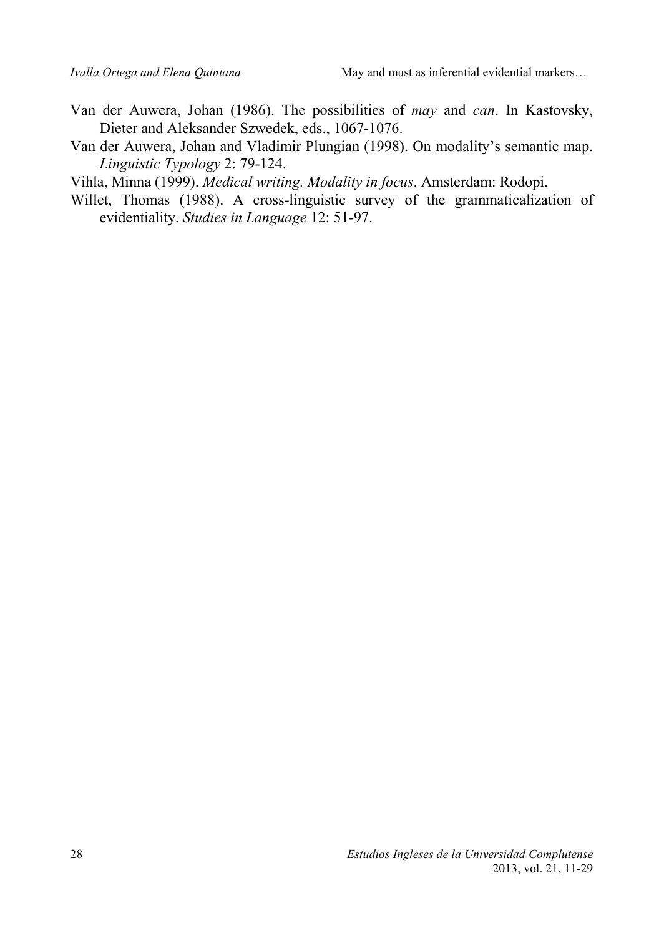- Van der Auwera, Johan (1986). The possibilities of may and can. In Kastovsky, Dieter and Aleksander Szwedek, eds., 1067-1076.
- Van der Auwera, Johan and Vladimir Plungian (1998). On modality's semantic map. Linguistic Typology 2: 79-124.

Vihla, Minna (1999). Medical writing. Modality in focus. Amsterdam: Rodopi.

Willet, Thomas (1988). A cross-linguistic survey of the grammaticalization of evidentiality. Studies in Language 12: 51-97.